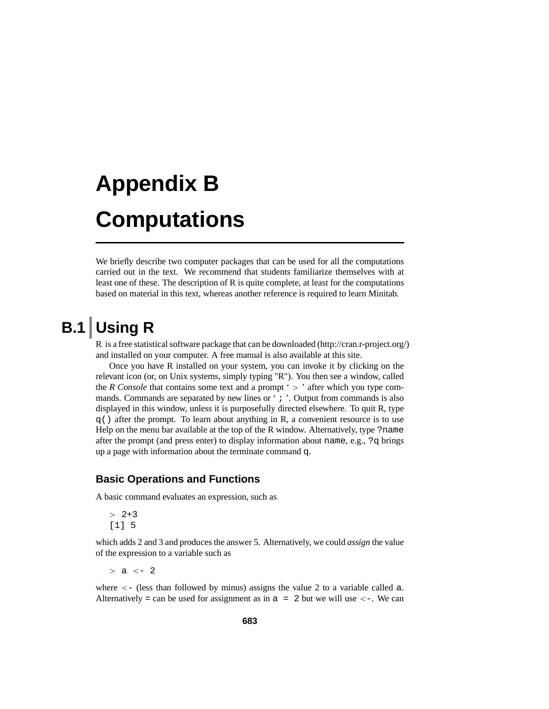# **Appendix B Computations**

We briefly describe two computer packages that can be used for all the computations carried out in the text. We recommend that students familiarize themselves with at least one of these. The description of R is quite complete, at least for the computations based on material in this text, whereas another reference is required to learn Minitab.

## **B.1 Using R**

R is a free statistical software package that can be downloaded (http://cran.r-project.org/) and installed on your computer. A free manual is also available at this site.

Once you have R installed on your system, you can invoke it by clicking on the relevant icon (or, on Unix systems, simply typing "R"). You then see a window, called the *R Console* that contains some text and a prompt ' $>$  ' after which you type commands. Commands are separated by new lines or '; '. Output from commands is also displayed in this window, unless it is purposefully directed elsewhere. To quit R, type  $q($ ) after the prompt. To learn about anything in R, a convenient resource is to use Help on the menu bar available at the top of the R window. Alternatively, type ?name after the prompt (and press enter) to display information about name, e.g., ?q brings up a page with information about the terminate command q.

### **Basic Operations and Functions**

A basic command evaluates an expression, such as

$$
> 2+3
$$
  
[1] 5

which adds 2 and 3 and produces the answer 5. Alternatively, we could *assign* the value of the expression to a variable such as

 $> a < - 2$ 

where  $\lt$  (less than followed by minus) assigns the value 2 to a variable called a. Alternatively = can be used for assignment as in  $a = 2$  but we will use  $\lt$  -. We can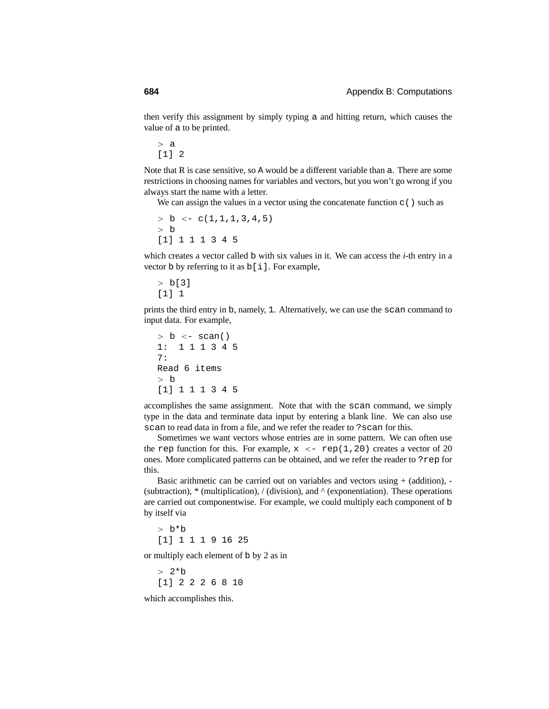then verify this assignment by simply typing a and hitting return, which causes the value of a to be printed.

 $> a$ [1] 2

Note that R is case sensitive, so A would be a different variable than a. There are some restrictions in choosing names for variables and vectors, but you won't go wrong if you always start the name with a letter.

We can assign the values in a vector using the concatenate function  $c()$  such as

```
> b < -c(1,1,1,3,4,5)> b
[1] 1 1 1 3 4 5
```
which creates a vector called b with six values in it. We can access the *i*-th entry in a vector b by referring to it as  $b[i]$ . For example,

```
> b[3]
[1] 1
```
prints the third entry in b, namely, 1. Alternatively, we can use the scan command to input data. For example,

```
> b < - scan()
1: 1 1 1 3 4 5
7:
Read 6 items
> b
[1] 1 1 1 3 4 5
```
accomplishes the same assignment. Note that with the scan command, we simply type in the data and terminate data input by entering a blank line. We can also use scan to read data in from a file, and we refer the reader to ?scan for this.

Sometimes we want vectors whose entries are in some pattern. We can often use the rep function for this. For example,  $x < -r$ ep(1,20) creates a vector of 20 ones. More complicated patterns can be obtained, and we refer the reader to ?rep for this.

Basic arithmetic can be carried out on variables and vectors using + (addition), - (subtraction),  $*$  (multiplication), / (division), and  $\wedge$  (exponentiation). These operations are carried out componentwise. For example, we could multiply each component of b by itself via

 $> b*b$ [1] 1 1 1 9 16 25

or multiply each element of b by 2 as in

> 2\*b [1] 2 2 2 6 8 10

which accomplishes this.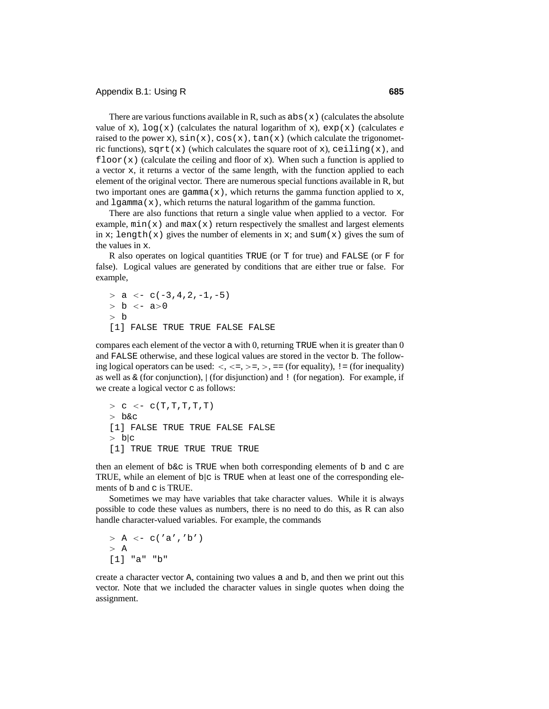There are various functions available in R, such as  $abs(x)$  (calculates the absolute value of x),  $log(x)$  (calculates the natural logarithm of x),  $exp(x)$  (calculates *e* raised to the power x),  $sin(x)$ ,  $cos(x)$ ,  $tan(x)$  (which calculate the trigonometric functions),  $sqrt(x)$  (which calculates the square root of x), ceiling(x), and  $floor(x)$  (calculate the ceiling and floor of x). When such a function is applied to a vector x, it returns a vector of the same length, with the function applied to each element of the original vector. There are numerous special functions available in R, but two important ones are gamma $(x)$ , which returns the gamma function applied to x, and  $l$ gamma $(x)$ , which returns the natural logarithm of the gamma function.

There are also functions that return a single value when applied to a vector. For example,  $min(x)$  and  $max(x)$  return respectively the smallest and largest elements in x; length(x) gives the number of elements in x; and sum(x) gives the sum of the values in x.

R also operates on logical quantities TRUE (or T for true) and FALSE (or F for false). Logical values are generated by conditions that are either true or false. For example,

```
> a < -c(-3, 4, 2, -1, -5)> b < -a>0> b
[1] FALSE TRUE TRUE FALSE FALSE
```
compares each element of the vector a with 0, returning TRUE when it is greater than 0 and FALSE otherwise, and these logical values are stored in the vector b. The following logical operators can be used:  $\langle \cdot, \cdot \rangle = \rangle$ ,  $\langle \cdot \rangle = ($  for equality),  $\langle \cdot \rangle = ($  for inequality) as well as  $\&$  (for conjunction),  $|$  (for disjunction) and  $|$  (for negation). For example, if we create a logical vector c as follows:

```
> c < -c(T,T,T,T,T)> b&c
[1] FALSE TRUE TRUE FALSE FALSE
> b|c
[1] TRUE TRUE TRUE TRUE TRUE
```
then an element of b&c is TRUE when both corresponding elements of b and c are TRUE, while an element of  $b|c$  is TRUE when at least one of the corresponding elements of b and c is TRUE.

Sometimes we may have variables that take character values. While it is always possible to code these values as numbers, there is no need to do this, as R can also handle character-valued variables. For example, the commands

```
> A < - c('a', 'b')> A[1] "a" "b"
```
create a character vector A, containing two values a and b, and then we print out this vector. Note that we included the character values in single quotes when doing the assignment.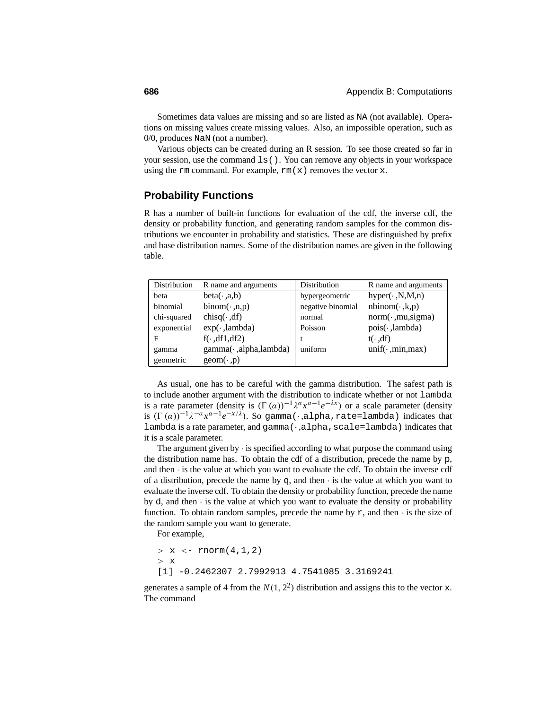Sometimes data values are missing and so are listed as NA (not available). Operations on missing values create missing values. Also, an impossible operation, such as 0/0, produces NaN (not a number).

Various objects can be created during an R session. To see those created so far in your session, use the command  $\text{ls}($ ). You can remove any objects in your workspace using the rm command. For example,  $rm(x)$  removes the vector x.

### **Probability Functions**

R has a number of built-in functions for evaluation of the cdf, the inverse cdf, the density or probability function, and generating random samples for the common distributions we encounter in probability and statistics. These are distinguished by prefix and base distribution names. Some of the distribution names are given in the following table.

| Distribution | R name and arguments  | Distribution      | R name and arguments      |
|--------------|-----------------------|-------------------|---------------------------|
| beta         | beta $(\cdot, a, b)$  | hypergeometric    | $hyper(\cdot, N, M, n)$   |
| binomial     | $binom(\cdot, n, p)$  | negative binomial | $nbinom(\cdot, k, p)$     |
| chi-squared  | chisq $(\cdot,df)$    | normal            | $norm(\cdot, mu, sigma)$  |
| exponential  | $exp(\cdot,lambda)$   | Poisson           | $pois(\cdot,lambda)$      |
| F            | $f(\cdot, df1, df2)$  |                   | $t(\cdot,df)$             |
| gamma        | gamma(·,alpha,lambda) | uniform           | unif( $\cdot$ , min, max) |
| geometric    | $geom(\cdot,p)$       |                   |                           |

As usual, one has to be careful with the gamma distribution. The safest path is to include another argument with the distribution to indicate whether or not lambda is a rate parameter (density is  $(\Gamma(\alpha))^{-1}\lambda^{\alpha}x^{\alpha-1}e^{-\lambda x}$ ) or a scale parameter (density is  $(\Gamma(\alpha))^{-1}\lambda^{-\alpha}x^{\alpha-1}e^{-x/\lambda}$ . So gamma(·,alpha,rate=lambda) indicates that lambda is a rate parameter, and gamma (.,alpha, scale=lambda) indicates that it is a scale parameter.

The argument given by  $\cdot$  is specified according to what purpose the command using the distribution name has. To obtain the cdf of a distribution, precede the name by p, and then  $\cdot$  is the value at which you want to evaluate the cdf. To obtain the inverse cdf of a distribution, precede the name by q, and then  $\cdot$  is the value at which you want to evaluate the inverse cdf. To obtain the density or probability function, precede the name by  $d$ , and then  $\cdot$  is the value at which you want to evaluate the density or probability function. To obtain random samples, precede the name by  $r$ , and then  $\cdot$  is the size of the random sample you want to generate.

For example,

 $> x < -rnorm(4,1,2)$  $> x$ [1] -0.2462307 2.7992913 4.7541085 3.3169241

generates a sample of 4 from the  $N(1, 2^2)$  distribution and assigns this to the vector x. The command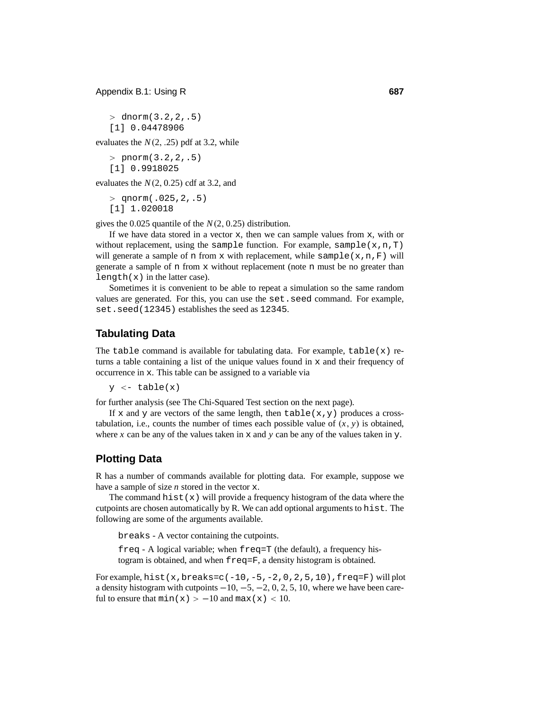$>$  dnorm $(3.2, 2, .5)$ [1] 0.04478906

evaluates the  $N(2, .25)$  pdf at 3.2, while

 $>$  pnorm(3.2,2,.5) [1] 0.9918025

evaluates the *N*(2, 0.25) cdf at 3.2, and

 $>$  qnorm(.025,2,.5) [1] 1.020018

gives the 0.025 quantile of the *N*(2, 0.25) distribution.

If we have data stored in a vector  $x$ , then we can sample values from  $x$ , with or without replacement, using the sample function. For example, sample( $x, n, T$ ) will generate a sample of n from x with replacement, while sample( $x, n, F$ ) will generate a sample of n from x without replacement (note n must be no greater than  $l$ ength( $x$ ) in the latter case).

Sometimes it is convenient to be able to repeat a simulation so the same random values are generated. For this, you can use the set.seed command. For example, set.seed(12345) establishes the seed as 12345.

#### **Tabulating Data**

The table command is available for tabulating data. For example, table(x) returns a table containing a list of the unique values found in  $x$  and their frequency of occurrence in x. This table can be assigned to a variable via

 $y \le -\text{table}(x)$ 

for further analysis (see The Chi-Squared Test section on the next page).

If x and y are vectors of the same length, then  $table(x, y)$  produces a crosstabulation, i.e., counts the number of times each possible value of  $(x, y)$  is obtained, where x can be any of the values taken in  $x$  and  $y$  can be any of the values taken in  $y$ .

### **Plotting Data**

R has a number of commands available for plotting data. For example, suppose we have a sample of size *n* stored in the vector x.

The command hist( $x$ ) will provide a frequency histogram of the data where the cutpoints are chosen automatically by R. We can add optional arguments to hist. The following are some of the arguments available.

breaks - A vector containing the cutpoints.

freq - A logical variable; when freq=T (the default), a frequency histogram is obtained, and when freq=F, a density histogram is obtained.

For example, hist(x,breaks=c(-10,-5,-2,0,2,5,10),freq=F) will plot a density histogram with cutpoints  $-10, -5, -2, 0, 2, 5, 10$ , where we have been careful to ensure that  $min(x) > -10$  and  $max(x) < 10$ .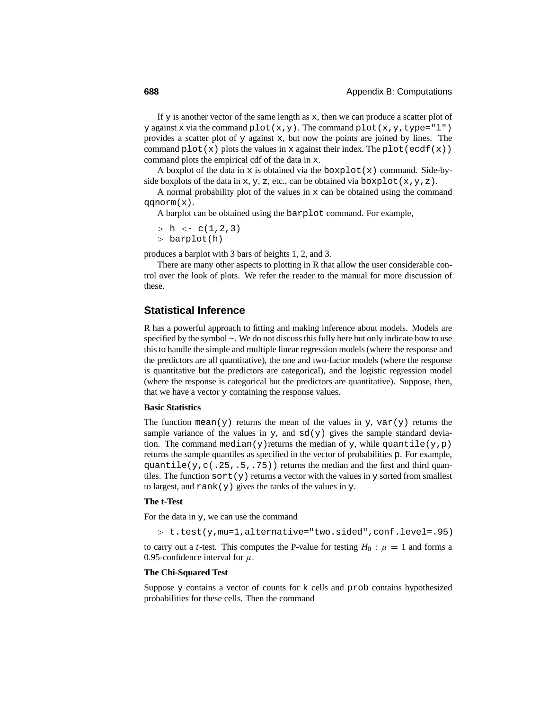If  $y$  is another vector of the same length as  $x$ , then we can produce a scatter plot of y against x via the command plot(x,y). The command plot(x,y, type= $"1"$ ) provides a scatter plot of y against x, but now the points are joined by lines. The command plot(x) plots the values in x against their index. The plot(ecdf(x)) command plots the empirical cdf of the data in x.

A boxplot of the data in x is obtained via the boxplot  $(x)$  command. Side-byside boxplots of the data in x, y, z, etc., can be obtained via boxplot(x, y, z).

A normal probability plot of the values in  $x$  can be obtained using the command qqnorm(x).

A barplot can be obtained using the barplot command. For example,

 $> h \le -c(1,2,3)$ > barplot(h)

produces a barplot with 3 bars of heights 1, 2, and 3.

There are many other aspects to plotting in R that allow the user considerable control over the look of plots. We refer the reader to the manual for more discussion of these.

#### **Statistical Inference**

R has a powerful approach to fitting and making inference about models. Models are specified by the symbol ~. We do not discuss this fully here but only indicate how to use this to handle the simple and multiple linear regression models (where the response and the predictors are all quantitative), the one and two-factor models (where the response is quantitative but the predictors are categorical), and the logistic regression model (where the response is categorical but the predictors are quantitative). Suppose, then, that we have a vector y containing the response values.

#### **Basic Statistics**

The function mean(y) returns the mean of the values in y,  $var(y)$  returns the sample variance of the values in  $y$ , and  $sd(y)$  gives the sample standard deviation. The command median(y) returns the median of y, while quantile(y, p) returns the sample quantiles as specified in the vector of probabilities p. For example, quantile(y, c(.25,.5,.75)) returns the median and the first and third quantiles. The function  $sort(y)$  returns a vector with the values in y sorted from smallest to largest, and rank(y) gives the ranks of the values in y.

#### **The t-Test**

For the data in y, we can use the command

> t.test(y,mu=1,alternative="two.sided",conf.level=.95)

to carry out a *t*-test. This computes the P-value for testing  $H_0$ :  $\mu = 1$  and forms a 0.95-confidence interval for  $\mu$ .

#### **The Chi-Squared Test**

Suppose y contains a vector of counts for k cells and prob contains hypothesized probabilities for these cells. Then the command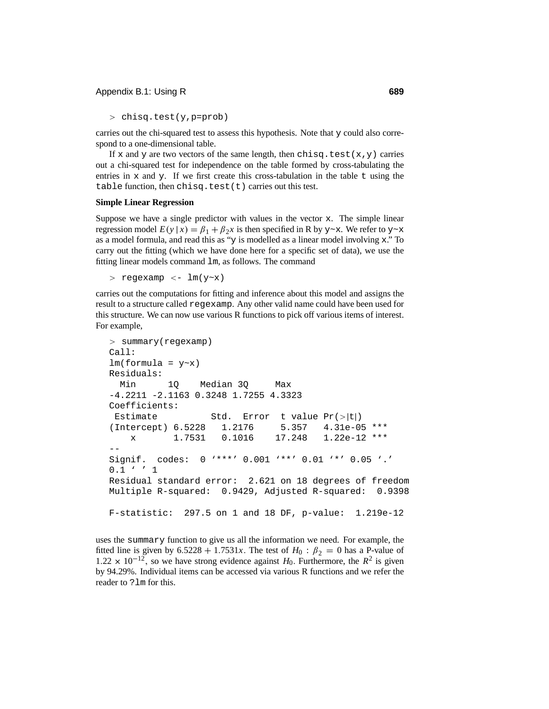```
> chisq.test(y,p=prob)
```
carries out the chi-squared test to assess this hypothesis. Note that y could also correspond to a one-dimensional table.

If x and y are two vectors of the same length, then chisq.test(x,y) carries out a chi-squared test for independence on the table formed by cross-tabulating the entries in  $x$  and  $y$ . If we first create this cross-tabulation in the table  $t$  using the table function, then chisq.test(t) carries out this test.

#### **Simple Linear Regression**

Suppose we have a single predictor with values in the vector x. The simple linear regression model  $E(y | x) = \beta_1 + \beta_2 x$  is then specified in R by y~x. We refer to y~x as a model formula, and read this as "y is modelled as a linear model involving x." To carry out the fitting (which we have done here for a specific set of data), we use the fitting linear models command lm, as follows. The command

 $>$  regexamp  $<-$  lm(y~x)

carries out the computations for fitting and inference about this model and assigns the result to a structure called regexamp. Any other valid name could have been used for this structure. We can now use various R functions to pick off various items of interest. For example,

```
> summary(regexamp)
Call:
lm(formula = y~x)Residuals:
 Min 1Q Median 3Q Max
-4.2211 -2.1163 0.3248 1.7255 4.3323
Coefficients:
Estimate Std. Error t value Pr(>|t|)<br>Intercept) 6.5228 1.2176 5.357 4.31e-05 ***
(Intercept) 6.5228x 1.7531 0.1016 17.248 1.22e-12 ***
--
Signif. codes: 0 '***' 0.001 '**' 0.01 '*' 0.05 '.'
0.1 ' 1Residual standard error: 2.621 on 18 degrees of freedom
Multiple R-squared: 0.9429, Adjusted R-squared: 0.9398
F-statistic: 297.5 on 1 and 18 DF, p-value: 1.219e-12
```
uses the summary function to give us all the information we need. For example, the fitted line is given by  $6.5228 + 1.7531x$ . The test of  $H_0$ :  $\beta_2 = 0$  has a P-value of 1.22 × 10<sup>-12</sup>, so we have strong evidence against *H*<sub>0</sub>. Furthermore, the *R*<sup>2</sup> is given by 94.29%. Individual items can be accessed via various R functions and we refer the reader to ?lm for this.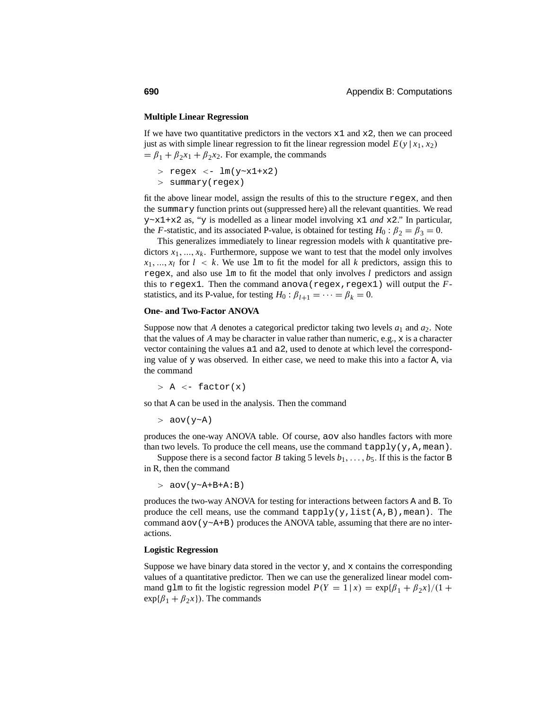#### **Multiple Linear Regression**

If we have two quantitative predictors in the vectors  $x1$  and  $x2$ , then we can proceed just as with simple linear regression to fit the linear regression model  $E(y | x_1, x_2)$  $= \beta_1 + \beta_2 x_1 + \beta_2 x_2$ . For example, the commands

```
> regex <- lm(y~x1+x2)
> summary(regex)
```
fit the above linear model, assign the results of this to the structure regex, and then the summary function prints out (suppressed here) all the relevant quantities. We read y~x1+x2 as, "y is modelled as a linear model involving x1 *and* x2." In particular, the *F*-statistic, and its associated P-value, is obtained for testing  $H_0: \beta_2 = \beta_3 = 0$ .

This generalizes immediately to linear regression models with *k* quantitative predictors  $x_1, \ldots, x_k$ . Furthermore, suppose we want to test that the model only involves  $x_1, \ldots, x_l$  for  $l \leq k$ . We use  $\text{Im}$  to fit the model for all *k* predictors, assign this to regex, and also use lm to fit the model that only involves *l* predictors and assign this to regex1. Then the command anova(regex,regex1) will output the *F*statistics, and its P-value, for testing  $H_0: \beta_{l+1} = \cdots = \beta_k = 0$ .

#### **One- and Two-Factor ANOVA**

Suppose now that *A* denotes a categorical predictor taking two levels  $a_1$  and  $a_2$ . Note that the values of *A* may be character in value rather than numeric, e.g., x is a character vector containing the values a1 and a2, used to denote at which level the corresponding value of y was observed. In either case, we need to make this into a factor A, via the command

 $> A < -$  factor(x)

so that A can be used in the analysis. Then the command

 $>$  aov(y~A)

produces the one-way ANOVA table. Of course, aov also handles factors with more than two levels. To produce the cell means, use the command  $\text{tapply}(y, A, \text{mean})$ .

Suppose there is a second factor *B* taking 5 levels  $b_1, \ldots, b_5$ . If this is the factor B in R, then the command

 $> aov(y~A+B+A:B)$ 

produces the two-way ANOVA for testing for interactions between factors A and B. To produce the cell means, use the command  $\text{tapply}(y, \text{list}(A, B))$ , mean). The command  $aov(y<sub>></sub>-A+B)$  produces the ANOVA table, assuming that there are no interactions.

#### **Logistic Regression**

Suppose we have binary data stored in the vector  $\gamma$ , and  $\alpha$  contains the corresponding values of a quantitative predictor. Then we can use the generalized linear model command glm to fit the logistic regression model  $P(Y = 1 | x) = \exp{\frac{\beta_1 + \beta_2 x}{1 + \cdots}}$  $\exp{\{\beta_1 + \beta_2 x\}}$ . The commands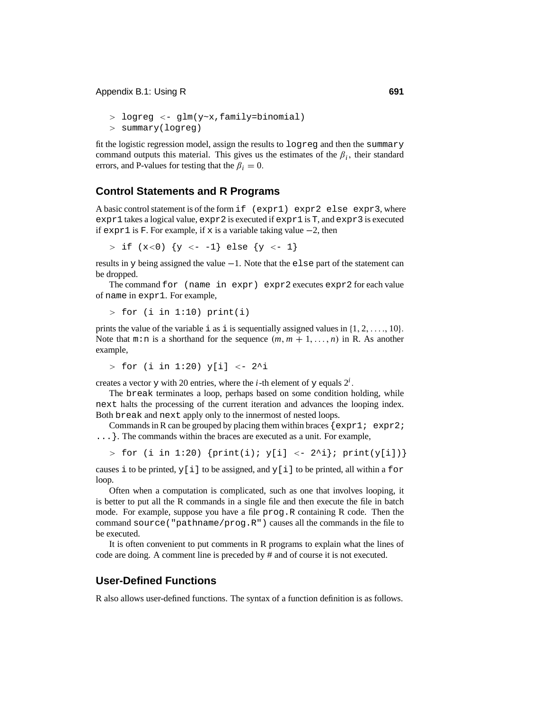```
> logreg <- glm(y~x,family=binomial)
```

```
> summary(logreg)
```
fit the logistic regression model, assign the results to logreg and then the summary command outputs this material. This gives us the estimates of the  $\beta_i$ , their standard errors, and P-values for testing that the  $\beta_i = 0$ .

### **Control Statements and R Programs**

A basic control statement is of the form if (expr1) expr2 else expr3, where expr1 takes a logical value, expr2 is executed if expr1 is T, and expr3 is executed if expr1 is <sup>F</sup>. For example, if <sup>x</sup> is a variable taking value <sup>−</sup>2, then

 $>$  if (x<0) {y <- -1} else {y <- 1}

results in <sup>y</sup> being assigned the value <sup>−</sup>1. Note that the else part of the statement can be dropped.

The command for (name in expr) expr2 executes expr2 for each value of name in expr1. For example,

```
> for (i in 1:10) print(i)
```
prints the value of the variable i as i is sequentially assigned values in  $\{1, 2, \ldots, 10\}$ . Note that  $m:n$  is a shorthand for the sequence  $(m, m + 1, \ldots, n)$  in R. As another example,

 $>$  for (i in 1:20) y[i] <- 2^i

creates a vector  $y$  with 20 entries, where the *i*-th element of  $y$  equals  $2^i$ .

The break terminates a loop, perhaps based on some condition holding, while next halts the processing of the current iteration and advances the looping index. Both break and next apply only to the innermost of nested loops.

Commands in R can be grouped by placing them within braces  $\{ \exp r1; \exp r2; \$ ...}. The commands within the braces are executed as a unit. For example,

> for (i in 1:20) {print(i);  $y[i] < -2^i;$ ; print( $y[i])$ }

causes i to be printed, y[i] to be assigned, and y[i] to be printed, all within a for loop.

Often when a computation is complicated, such as one that involves looping, it is better to put all the R commands in a single file and then execute the file in batch mode. For example, suppose you have a file prog.R containing R code. Then the command source("pathname/prog.R") causes all the commands in the file to be executed.

It is often convenient to put comments in R programs to explain what the lines of code are doing. A comment line is preceded by # and of course it is not executed.

### **User-Defined Functions**

R also allows user-defined functions. The syntax of a function definition is as follows.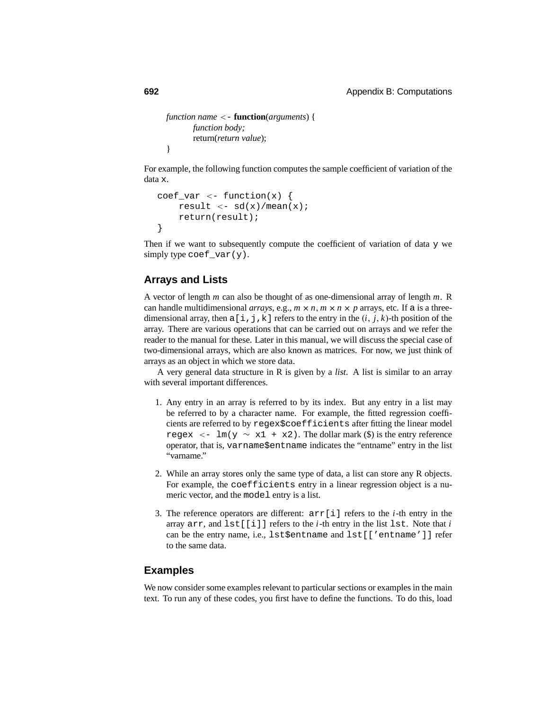```
function name <- function(arguments) {
       function body;
       return(return value);
}
```
For example, the following function computes the sample coefficient of variation of the data x.

```
coef\_var \leftarrow function(x) {
     result \langle -s d(x)/m e a n(x)\rangle;
     return(result);
}
```
Then if we want to subsequently compute the coefficient of variation of data y we simply type  $\text{coeff}_\text{var}(y)$ .

## **Arrays and Lists**

A vector of length *m* can also be thought of as one-dimensional array of length *m*. R can handle multidimensional *arrays*, e.g.,  $m \times n$ ,  $m \times n \times p$  arrays, etc. If a is a threedimensional array, then  $a[i,j,k]$  refers to the entry in the  $(i,j,k)$ -th position of the array. There are various operations that can be carried out on arrays and we refer the reader to the manual for these. Later in this manual, we will discuss the special case of two-dimensional arrays, which are also known as matrices. For now, we just think of arrays as an object in which we store data.

A very general data structure in R is given by a *list*. A list is similar to an array with several important differences.

- 1. Any entry in an array is referred to by its index. But any entry in a list may be referred to by a character name. For example, the fitted regression coefficients are referred to by regex\$coefficients after fitting the linear model regex <- lm(y  $\sim x1 + x2$ ). The dollar mark (\$) is the entry reference operator, that is, varname\$entname indicates the "entname" entry in the list "varname."
- 2. While an array stores only the same type of data, a list can store any R objects. For example, the coefficients entry in a linear regression object is a numeric vector, and the model entry is a list.
- 3. The reference operators are different:  $\arref{i}$  refers to the *i*-th entry in the array arr, and lst[[i]] refers to the *i*-th entry in the list lst. Note that *i* can be the entry name, i.e., lst\$entname and lst[['entname']] refer to the same data.

## **Examples**

We now consider some examples relevant to particular sections or examples in the main text. To run any of these codes, you first have to define the functions. To do this, load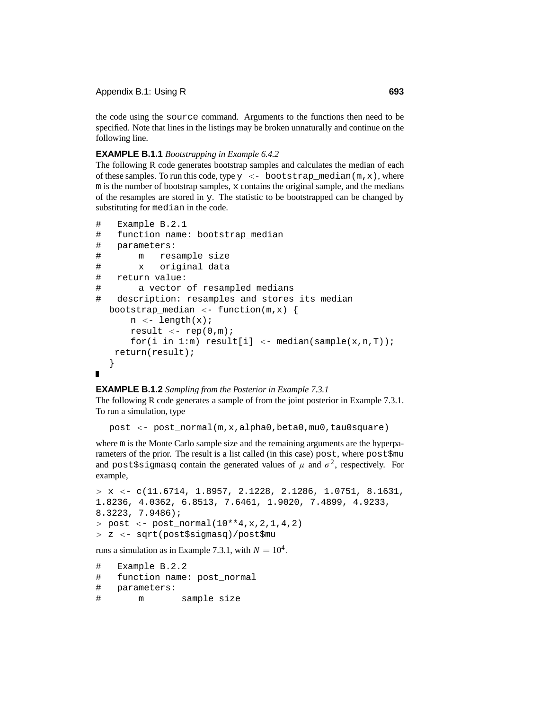the code using the source command. Arguments to the functions then need to be specified. Note that lines in the listings may be broken unnaturally and continue on the following line.

#### **EXAMPLE B.1.1** *Bootstrapping in Example 6.4.2*

The following R code generates bootstrap samples and calculates the median of each of these samples. To run this code, type  $y < -$  bootstrap\_median(m,x), where m is the number of bootstrap samples,  $x$  contains the original sample, and the medians of the resamples are stored in y. The statistic to be bootstrapped can be changed by substituting for median in the code.

```
# Example B.2.1
# function name: bootstrap_median
# parameters:
# m resample size
# x original data
# return value:
# a vector of resampled medians
# description: resamples and stores its median
  bootstrap_median <- function(m,x) {
      n \le - \text{length}(x);
      result \langle - rep(0,m);
      for(i in 1:m) result[i] <- median(sample(x,n,T));
   return(result);
  }
```
#### **EXAMPLE B.1.2** *Sampling from the Posterior in Example 7.3.1*

The following R code generates a sample of from the joint posterior in Example 7.3.1. To run a simulation, type

```
post <- post_normal(m,x,alpha0,beta0,mu0,tau0square)
```
where m is the Monte Carlo sample size and the remaining arguments are the hyperparameters of the prior. The result is a list called (in this case) post, where post\$mu and post\$sigmasq contain the generated values of  $\mu$  and  $\sigma^2$ , respectively. For example,

```
> x \leq c(11.6714, 1.8957, 2.1228, 2.1286, 1.0751, 8.1631,1.8236, 4.0362, 6.8513, 7.6461, 1.9020, 7.4899, 4.9233,
8.3223, 7.9486);
> post <- post normal(10**4,x,2,1,4,2)
> z <- sqrt(post$sigmasq)/post$mu
```
runs a simulation as in Example 7.3.1, with  $N = 10^4$ .

```
# Example B.2.2
# function name: post_normal
# parameters:
# m sample size
```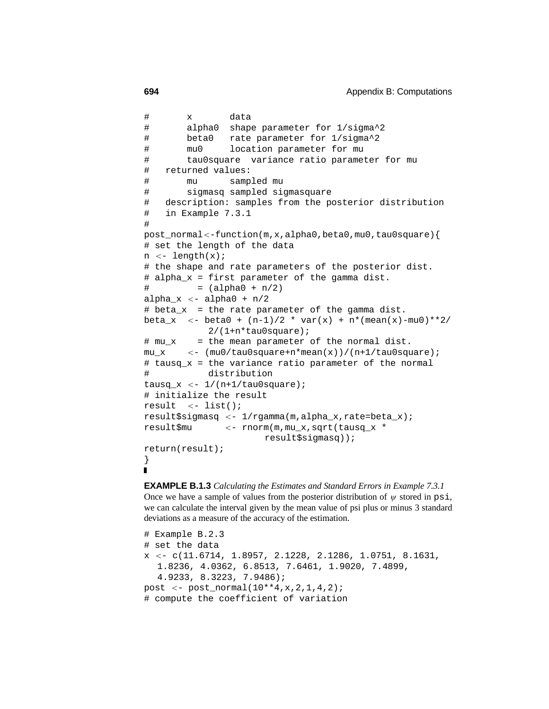```
# x data
# alpha0 shape parameter for 1/sigma^2
# beta0 rate parameter for 1/sigma^2
# mu0 location parameter for mu
# tau0square variance ratio parameter for mu
# returned values:
# mu sampled mu
# sigmasq sampled sigmasquare
# description: samples from the posterior distribution
# in Example 7.3.1
#
post_normal<-function(m,x,alpha0,beta0,mu0,tau0square){
# set the length of the data
n \le - \text{length}(x);
# the shape and rate parameters of the posterior dist.
# alpha_x = first parameter of the gamma dist.
# = (alpha0 + n/2)alpha_x < - alpha0 + n/2# beta_x = the rate parameter of the gamma dist.
beta_x <- beta0 + (n-1)/2 * var(x) + n*(mean(x)-mu0)**2/2/(1+n*tau0square);
# mu_x = the mean parameter of the normal dist.
mu_x <- (mu0/tau0square+n*mean(x))/(n+1/tau0square);
# tausq_x = the variance ratio parameter of the normal
# distribution
tausqx \le -1/(n+1/tau0square);
# initialize the result
result \langle -1 \text{ist}( \rangle );
result$sigmasq <- 1/rgamma(m,alpha_x,rate=beta_x);
result$mu <- rnorm(m,mu_x,sqrt(tausq_x *
                     result$sigmasq));
return(result);
}
п
```
**EXAMPLE B.1.3** *Calculating the Estimates and Standard Errors in Example 7.3.1* Once we have a sample of values from the posterior distribution of  $\psi$  stored in psi, we can calculate the interval given by the mean value of psi plus or minus 3 standard deviations as a measure of the accuracy of the estimation.

```
# Example B.2.3
# set the data
x <- c(11.6714, 1.8957, 2.1228, 2.1286, 1.0751, 8.1631,
  1.8236, 4.0362, 6.8513, 7.6461, 1.9020, 7.4899,
  4.9233, 8.3223, 7.9486);
post \langle - post normal(10**4,x,2,1,4,2);
# compute the coefficient of variation
```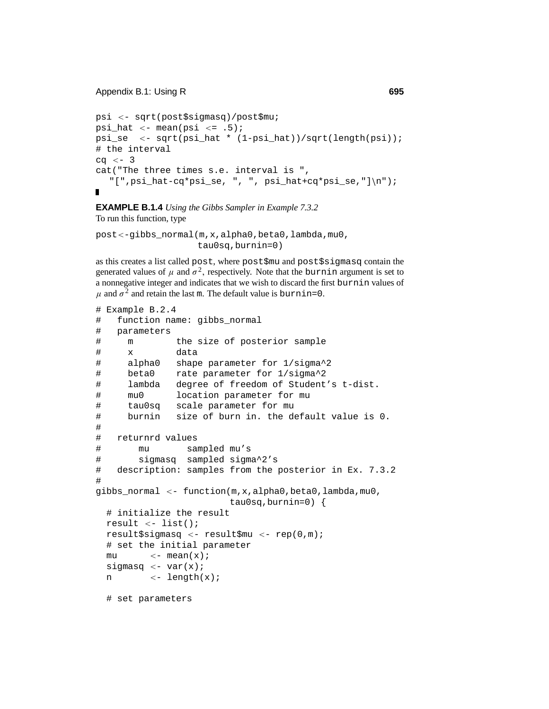```
psi <- sqrt(post$sigmasq)/post$mu;
psi_hat \langle - \text{mean}(\text{psi} \langle -1, 5 \rangle);
psi_se <- sqrt(psi_hat * (1-psi_hat))/sqrt(length(psi));
# the interval
cq < -3cat("The three times s.e. interval is ",
   "[",psi_hat-cq*psi_se, ", ", psi_hat+cq*psi_se,"]\n");
```
**EXAMPLE B.1.4** *Using the Gibbs Sampler in Example 7.3.2* To run this function, type

```
post<-gibbs_normal(m,x,alpha0,beta0,lambda,mu0,
                   tau0sq,burnin=0)
```
as this creates a list called post, where post\$mu and post\$sigmasq contain the generated values of  $\mu$  and  $\sigma^2$ , respectively. Note that the burnin argument is set to a nonnegative integer and indicates that we wish to discard the first burnin values of  $\mu$  and  $\sigma^2$  and retain the last m. The default value is burnin=0.

```
# Example B.2.4
# function name: gibbs_normal
# parameters
# m the size of posterior sample
# x data
# alpha0 shape parameter for 1/sigma^2
# beta0 rate parameter for 1/sigma^2
# lambda degree of freedom of Student's t-dist.
# mu0 location parameter for mu
# tau0sq scale parameter for mu
# burnin size of burn in. the default value is 0.
#
# returnrd values
# mu sampled mu's
# sigmasq sampled sigma^2's
# description: samples from the posterior in Ex. 7.3.2
#
gibbs_normal \leq - function(m,x,alpha0,beta0,lambda,mu0,
                        tau0sq,burnin=0) {
  # initialize the result
 result \langle - list();
  result$sigmasq <- result$mu <- rep(0,m);
  # set the initial parameter
 mu \langle - \text{mean}(x) \ranglesigmasq \langle - \text{var}(x) \ranglen \langle -\text{ length}(x)\rangle# set parameters
```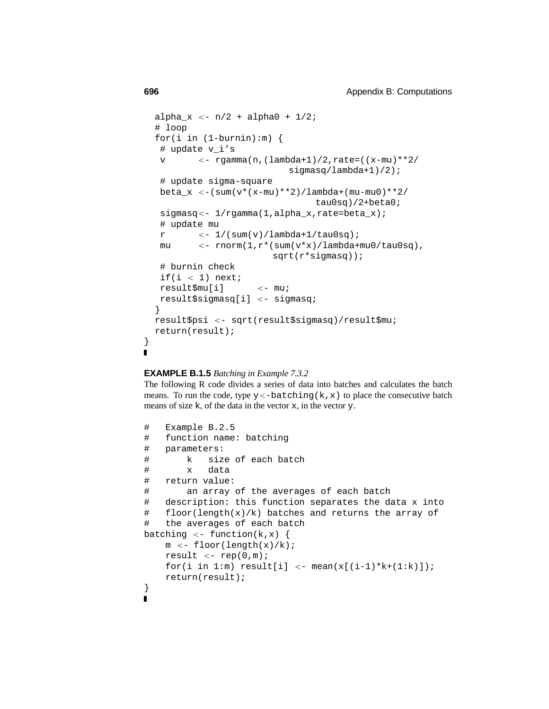```
alpha_x \le -n/2 + n alpha0 + 1/2;
 # loop
 for(i in (1-burnin):m) {
  # update v_i's
  v <- rgamma(n,(lambda+1)/2,rate=((x-mu)**2/
                          sigmasq/lambda+1)/2);
  # update sigma-square
  beta_x < -(sum(v*(x-mu)**2)/lambda+(mu-mu0)**2/
                               tau0sq)/2+beta0;
  sigmasq<- 1/rgamma(1,alpha_x,rate=beta_x);
  # update mu
  r <- 1/(sum(v)/lambda+1/tau0sq);
  mu <- rnorm(1,r*(sum(v*x)/lambda+mu0/tau0sq),
                       sqrt(r*sigmasq));
  # burnin check
  if(i < 1) next;
  result$mu[i] <- mu;
  result$sigmasq[i] <- sigmasq;
 }
 result$psi <- sqrt(result$sigmasq)/result$mu;
 return(result);
}
```
#### **EXAMPLE B.1.5** *Batching in Example 7.3.2*

The following R code divides a series of data into batches and calculates the batch means. To run the code, type  $y < -$  batching(k, x) to place the consecutive batch means of size k, of the data in the vector x, in the vector y.

```
# Example B.2.5
# function name: batching
# parameters:
# k size of each batch
# x data
# return value:
# an array of the averages of each batch
# description: this function separates the data x into
# floor(length(x)/k) batches and returns the array of
# the averages of each batch
batching \langle - function(k,x) {
    m \le - floor(length(x)/k);
   result <- rep(0, m);
    for(i in 1:m) result[i] <- mean(x[(i-1)*k+(1:k)]);
   return(result);
}\blacksquare
```
п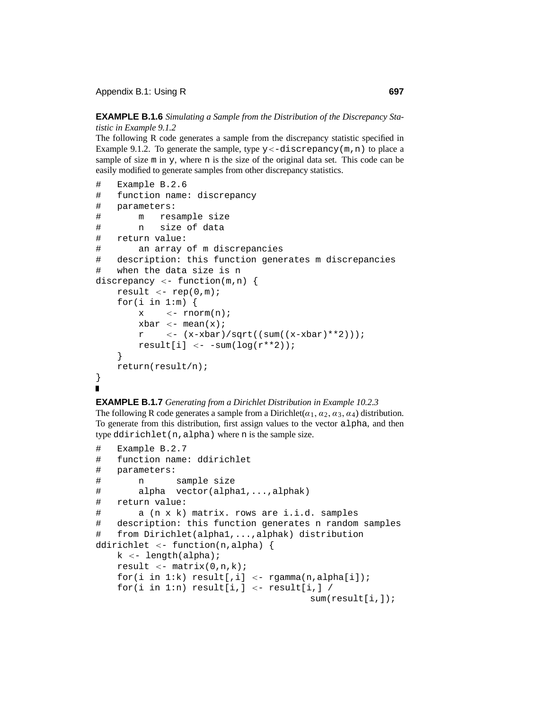**EXAMPLE B.1.6** *Simulating a Sample from the Distribution of the Discrepancy Statistic in Example 9.1.2*

The following R code generates a sample from the discrepancy statistic specified in Example 9.1.2. To generate the sample, type  $y < -$ discrepancy(m,n) to place a sample of size m in y, where n is the size of the original data set. This code can be easily modified to generate samples from other discrepancy statistics.

```
# Example B.2.6
# function name: discrepancy
# parameters:
# m resample size
# n size of data
# return value:
# an array of m discrepancies
# description: this function generates m discrepancies
# when the data size is n
discrepancy <- function(m,n) {
    result \leftarrow rep(0,m);for(i in 1:m) {
        x \leq -\text{rnorm}(n);xbar \langle - \text{mean}(x) \rangler <- (x-xbar)/sqrt( (sum((x-xbar)**2));
        result[i] < -sum(log(r**2));}
    return(result/n);
}
\blacksquare
```
#### **EXAMPLE B.1.7** *Generating from a Dirichlet Distribution in Example 10.2.3*

The following R code generates a sample from a Dirichlet( $\alpha_1$ ,  $\alpha_2$ ,  $\alpha_3$ ,  $\alpha_4$ ) distribution. To generate from this distribution, first assign values to the vector alpha, and then type ddirichlet(n,alpha) where n is the sample size.

```
# Example B.2.7
# function name: ddirichlet
# parameters:
# n sample size
# alpha vector(alpha1,...,alphak)
# return value:
# a (n x k) matrix. rows are i.i.d. samples
# description: this function generates n random samples
# from Dirichlet(alpha1,...,alphak) distribution
ddirichlet <- function(n,alpha) {
   k <- length(alpha);
   result \langle - matrix(0,n,k);
    for(i in 1:k) result[,i] <- rgamma(n,alpha[i]);
    for(i in 1:n) result[i,] \langle - result[i,] /
                                      sum(result[i,]);
```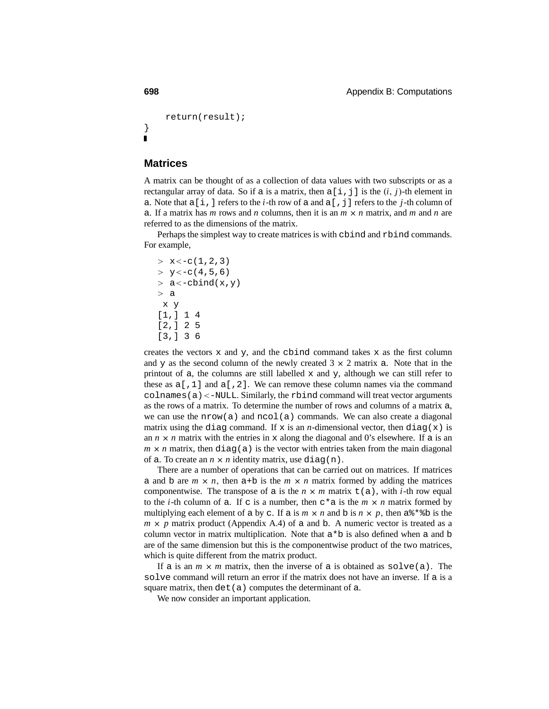```
return(result);
}
```
#### **Matrices**

A matrix can be thought of as a collection of data values with two subscripts or as a rectangular array of data. So if a is a matrix, then  $a[i, j]$  is the  $(i, j)$ -th element in a. Note that a[i,] refers to the *i*-th row of a and a[,j] refers to the *j*-th column of a. If a matrix has *m* rows and *n* columns, then it is an  $m \times n$  matrix, and *m* and *n* are referred to as the dimensions of the matrix.

Perhaps the simplest way to create matrices is with cbind and rbind commands. For example,

```
> x < -c(1, 2, 3)> y < -c(4, 5, 6)> a < -cbind(x,y)> ax y
[1,] 1 4
[2,] 2 5
[3,] 3 6
```
creates the vectors  $x$  and  $y$ , and the cbind command takes  $x$  as the first column and y as the second column of the newly created  $3 \times 2$  matrix a. Note that in the printout of  $a$ , the columns are still labelled  $x$  and  $y$ , although we can still refer to these as  $a$ [, 1] and  $a$ [, 2]. We can remove these column names via the command  $\text{colnames}(a) \leq -\text{NULL}$ . Similarly, the rbind command will treat vector arguments as the rows of a matrix. To determine the number of rows and columns of a matrix a, we can use the  $nrow(a)$  and  $ncol(a)$  commands. We can also create a diagonal matrix using the diag command. If x is an *n*-dimensional vector, then diag(x) is an  $n \times n$  matrix with the entries in  $x$  along the diagonal and 0's elsewhere. If a is an  $m \times n$  matrix, then diag(a) is the vector with entries taken from the main diagonal of a. To create an  $n \times n$  identity matrix, use diag(n).

There are a number of operations that can be carried out on matrices. If matrices a and b are  $m \times n$ , then a+b is the  $m \times n$  matrix formed by adding the matrices componentwise. The transpose of a is the  $n \times m$  matrix  $t(a)$ , with *i*-th row equal to the *i*-th column of a. If c is a number, then  $c \star a$  is the  $m \times n$  matrix formed by multiplying each element of a by c. If a is  $m \times n$  and b is  $n \times p$ , then a<sup>2</sup>\*%b is the  $m \times p$  matrix product (Appendix A.4) of a and b. A numeric vector is treated as a column vector in matrix multiplication. Note that a\*b is also defined when a and b are of the same dimension but this is the componentwise product of the two matrices, which is quite different from the matrix product.

If a is an  $m \times m$  matrix, then the inverse of a is obtained as solve (a). The solve command will return an error if the matrix does not have an inverse. If a is a square matrix, then  $\det(a)$  computes the determinant of a.

We now consider an important application.

 $\blacksquare$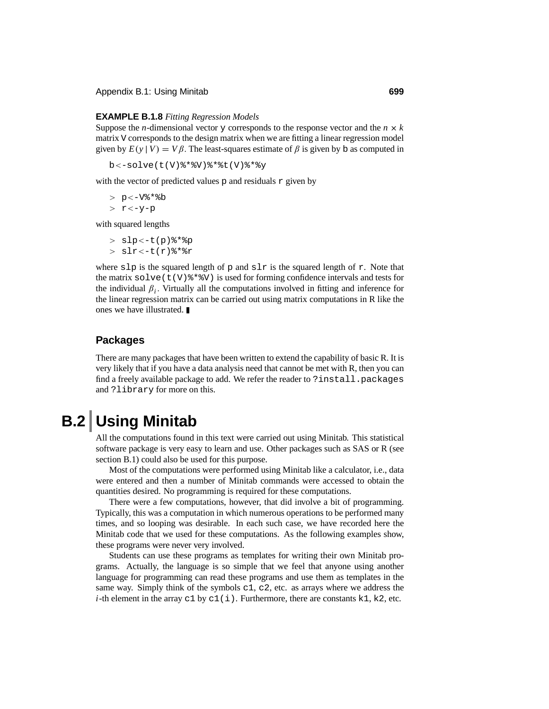Appendix B.1: Using Minitab **699**

#### **EXAMPLE B.1.8** *Fitting Regression Models*

Suppose the *n*-dimensional vector y corresponds to the response vector and the  $n \times k$ matrix V corresponds to the design matrix when we are fitting a linear regression model given by  $E(y | V) = V\beta$ . The least-squares estimate of  $\beta$  is given by b as computed in

 $b$  < - solve  $(t(V)$   $\frac{1}{6}$   $\frac{1}{6}$   $\frac{1}{6}$   $\frac{1}{6}$   $\frac{1}{6}$   $\frac{1}{6}$   $\frac{1}{6}$   $\frac{1}{6}$   $\frac{1}{6}$   $\frac{1}{6}$   $\frac{1}{6}$   $\frac{1}{6}$   $\frac{1}{6}$   $\frac{1}{6}$   $\frac{1}{6}$   $\frac{1}{6}$   $\frac{1}{6}$   $\frac{1}{6}$   $\frac{1}{6}$   $\frac{1}{6}$ 

with the vector of predicted values  $p$  and residuals  $r$  given by

```
> p<-V%*%b
> r < -y-p
```
with squared lengths

 $>$  slp < - t(p)  $*$  \*  $p$  $>$  slr  $lt$ -t(r)  $*$ \* $*$ 

where  $s \ln p$  is the squared length of p and  $s \ln p$  is the squared length of r. Note that the matrix solve ( $t(V)$ %\*%V) is used for forming confidence intervals and tests for the individual  $\beta_i$ . Virtually all the computations involved in fitting and inference for the linear regression matrix can be carried out using matrix computations in R like the ones we have illustrated.

#### **Packages**

There are many packages that have been written to extend the capability of basic R. It is very likely that if you have a data analysis need that cannot be met with R, then you can find a freely available package to add. We refer the reader to ?install.packages and ?library for more on this.

## **B.2 Using Minitab**

All the computations found in this text were carried out using Minitab. This statistical software package is very easy to learn and use. Other packages such as SAS or R (see section B.1) could also be used for this purpose.

Most of the computations were performed using Minitab like a calculator, i.e., data were entered and then a number of Minitab commands were accessed to obtain the quantities desired. No programming is required for these computations.

There were a few computations, however, that did involve a bit of programming. Typically, this was a computation in which numerous operations to be performed many times, and so looping was desirable. In each such case, we have recorded here the Minitab code that we used for these computations. As the following examples show, these programs were never very involved.

Students can use these programs as templates for writing their own Minitab programs. Actually, the language is so simple that we feel that anyone using another language for programming can read these programs and use them as templates in the same way. Simply think of the symbols  $c1$ ,  $c2$ , etc. as arrays where we address the *i*-th element in the array  $c1$  by  $c1(i)$ . Furthermore, there are constants k1, k2, etc.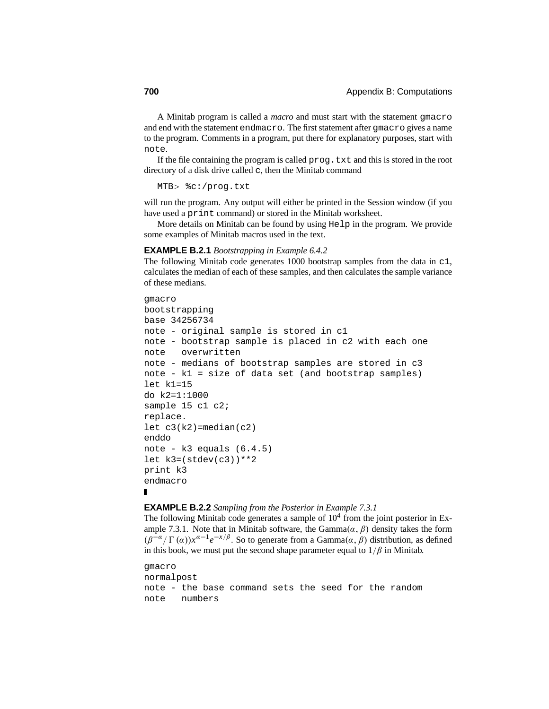A Minitab program is called a *macro* and must start with the statement gmacro and end with the statement endmacro. The first statement after gmacro gives a name to the program. Comments in a program, put there for explanatory purposes, start with note.

If the file containing the program is called prog.txt and this is stored in the root directory of a disk drive called c, then the Minitab command

MTB> %c:/prog.txt

will run the program. Any output will either be printed in the Session window (if you have used a print command) or stored in the Minitab worksheet.

More details on Minitab can be found by using Help in the program. We provide some examples of Minitab macros used in the text.

#### **EXAMPLE B.2.1** *Bootstrapping in Example 6.4.2*

The following Minitab code generates 1000 bootstrap samples from the data in c1, calculates the median of each of these samples, and then calculates the sample variance of these medians.

```
gmacro
bootstrapping
base 34256734
note - original sample is stored in c1
note - bootstrap sample is placed in c2 with each one
note overwritten
note - medians of bootstrap samples are stored in c3
note - k1 = size of data set (and bootstrap samples)
let k1=15
do k2=1:1000
sample 15 c1 c2;
replace.
let c3(k2)=median(c2)
enddo
note - k3 equals (6.4.5)let k3=(stack(c3))^*2print k3
endmacro
```
#### **EXAMPLE B.2.2** *Sampling from the Posterior in Example 7.3.1*

The following Minitab code generates a sample of  $10<sup>4</sup>$  from the joint posterior in Example 7.3.1. Note that in Minitab software, the Gamma $(\alpha, \beta)$  density takes the form  $(\beta^{-\alpha}/\Gamma(\alpha))x^{\alpha-1}e^{-x/\beta}$ . So to generate from a Gamma $(\alpha, \beta)$  distribution, as defined in this book, we must put the second shape parameter equal to  $1/\beta$  in Minitab.

```
gmacro
normalpost
note - the base command sets the seed for the random
note numbers
```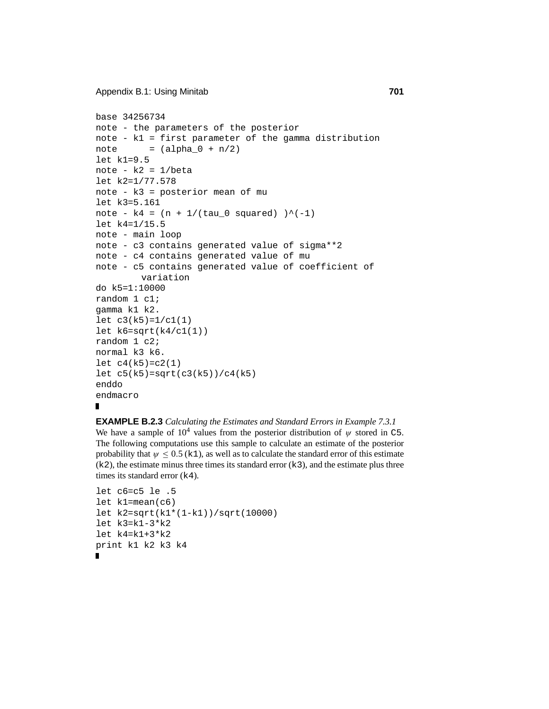```
base 34256734
note - the parameters of the posterior
note - k1 = first parameter of the gamma distribution
note = (alpha 0 + n/2)let k1=9.5
note - k2 = 1/betalet k2=1/77.578
note - k3 = posterior mean of mu
let k3=5.161
note - k4 = (n + 1/(tau_0 s) \cdot \text{square}) )^(-1)
let k4=1/15.5
note - main loop
note - c3 contains generated value of sigma**2
note - c4 contains generated value of mu
note - c5 contains generated value of coefficient of
        variation
do k5=1:10000
random 1 c1;
gamma k1 k2.
let c3(k5)=1/c1(1)let k6 = sqrt(k4/cl(1))random 1 c2;
normal k3 k6.
let c4(k5)=c2(1)let c5(k5)=sqrt(c3(k5))/c4(k5)
enddo
endmacro
```
**EXAMPLE B.2.3** *Calculating the Estimates and Standard Errors in Example 7.3.1* We have a sample of  $10^4$  values from the posterior distribution of  $\psi$  stored in C5. The following computations use this sample to calculate an estimate of the posterior probability that  $\psi \leq 0.5$  (k1), as well as to calculate the standard error of this estimate  $(k2)$ , the estimate minus three times its standard error  $(k3)$ , and the estimate plus three times its standard error (k4).

```
let c6=c5 le .5
let k1=mean(c6)
let k2=sqrt(k1*(1-k1))/sqrt(10000)
let k3=k1-3*k2
let k4=k1+3*k2
print k1 k2 k3 k4\blacksquare
```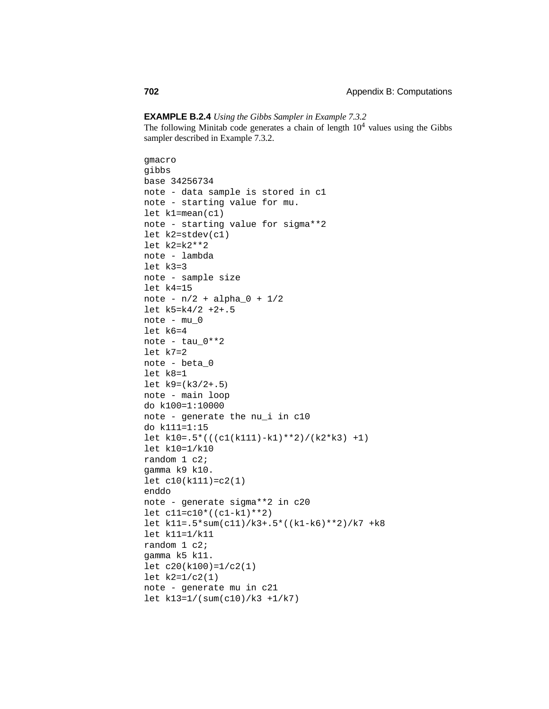#### **EXAMPLE B.2.4** *Using the Gibbs Sampler in Example 7.3.2*

The following Minitab code generates a chain of length  $10<sup>4</sup>$  values using the Gibbs sampler described in Example 7.3.2.

```
gmacro
gibbs
base 34256734
note - data sample is stored in c1
note - starting value for mu.
let k1=mean(c1)
note - starting value for sigma**2
let k2=stdev(c1)
let k2=k2**2
note - lambda
let k3=3
note - sample size
let k4=15
note - n/2 + alpha_0 + 1/2let k5=k4/2 +2+.5
note - mu_0
let k6=4
note - tau 0**2let k7=2
note - beta_0
let k8=1
let k9=(k3/2+.5)
note - main loop
do k100=1:10000
note - generate the nu_i in c10
do k111=1:15
let k10=.5*(((c1(k111)-k1)**2)/(k2*k3) +1)
let k10=1/k10
random 1 c2;
gamma k9 k10.
let c10(k111)=c2(1)
enddo
note - generate sigma**2 in c20
let c11=c10*((c1-k1)**2)
let k11=.5*sum(c11)/k3+.5*((k1-k6)**2)/k7 +k8
let k11=1/k11
random 1 c2;
gamma k5 k11.
let c20(k100)=1/c2(1)
let k2=1/c2(1)
note - generate mu in c21
let k13=1/(sum(c10)/k3 +1/k7)
```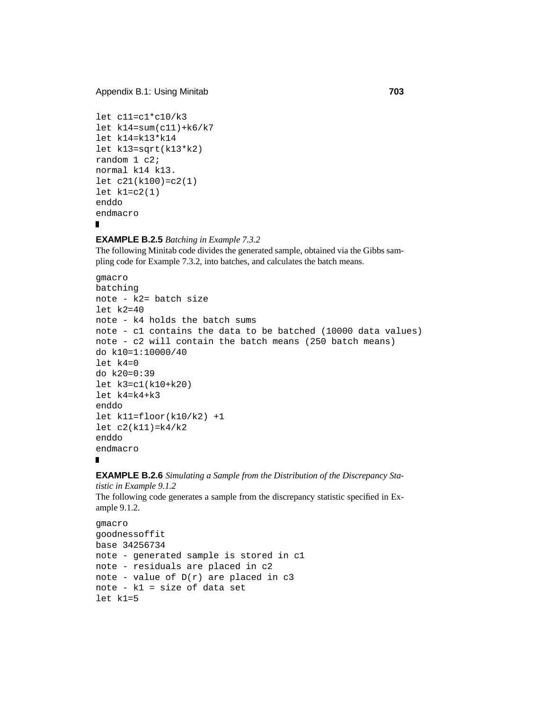#### Appendix B.1: Using Minitab **703**

```
let c11=c1*c10/k3
let k14=sum(c11)+k6/k7
let k14=k13*k14
let k13=sqrt(k13*k2)
random 1 c2;
normal k14 k13.
let c21(k100)=c2(1)let k1=c2(1)
enddo
endmacro
\blacksquare
```
#### **EXAMPLE B.2.5** *Batching in Example 7.3.2*

The following Minitab code divides the generated sample, obtained via the Gibbs sampling code for Example 7.3.2, into batches, and calculates the batch means.

```
gmacro
batching
note - k2= batch size
let k2=40
note - k4 holds the batch sums
note - c1 contains the data to be batched (10000 data values)
note - c2 will contain the batch means (250 batch means)
do k10=1:10000/40
let k4=0
do k20=0:39
let k3=c1(k10+k20)
let k4=k4+k3
enddo
let k11=floor(k10/k2) +1
let c2(k11) = k4/k2enddo
endmacro
\blacksquare
```
**EXAMPLE B.2.6** *Simulating a Sample from the Distribution of the Discrepancy Statistic in Example 9.1.2*

The following code generates a sample from the discrepancy statistic specified in Example 9.1.2.

```
gmacro
goodnessoffit
base 34256734
note - generated sample is stored in c1
note - residuals are placed in c2
note - value of D(r) are placed in c3
note - k1 = size of data set
let k1=5
```